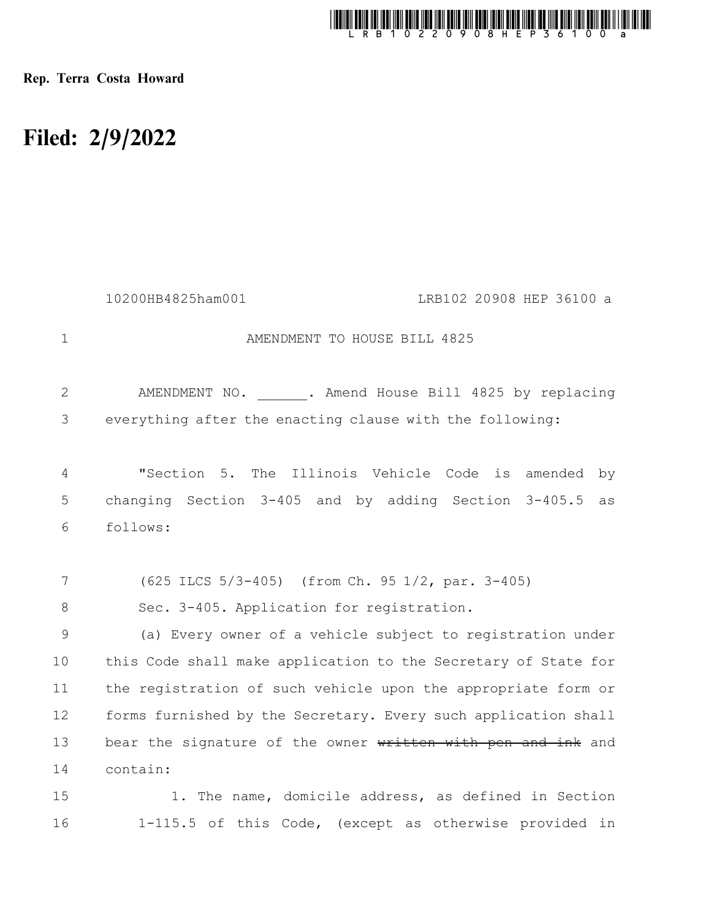

Rep. Terra Costa Howard

## Filed: 2/9/2022

16

|                | 10200HB4825ham001<br>LRB102 20908 HEP 36100 a                  |
|----------------|----------------------------------------------------------------|
| $\mathbf{1}$   | AMENDMENT TO HOUSE BILL 4825                                   |
| $\mathbf{2}$   | AMENDMENT NO. . Amend House Bill 4825 by replacing             |
| 3              | everything after the enacting clause with the following:       |
| $\overline{4}$ | The Illinois Vehicle Code<br>"Section 5.<br>is amended<br>by   |
| 5              | changing Section $3-405$ and by adding Section $3-405.5$<br>as |
| 6              | follows:                                                       |
|                |                                                                |
| 7              | (625 ILCS 5/3-405) (from Ch. 95 1/2, par. 3-405)               |
| 8              | Sec. 3-405. Application for registration.                      |
| 9              | (a) Every owner of a vehicle subject to registration under     |
| 10             | this Code shall make application to the Secretary of State for |
| 11             | the registration of such vehicle upon the appropriate form or  |
| 12             | forms furnished by the Secretary. Every such application shall |
| 13             | bear the signature of the owner written with pen and ink and   |
| 14             | contain:                                                       |
| 15             | 1. The name, domicile address, as defined in Section           |

1-115.5 of this Code, (except as otherwise provided in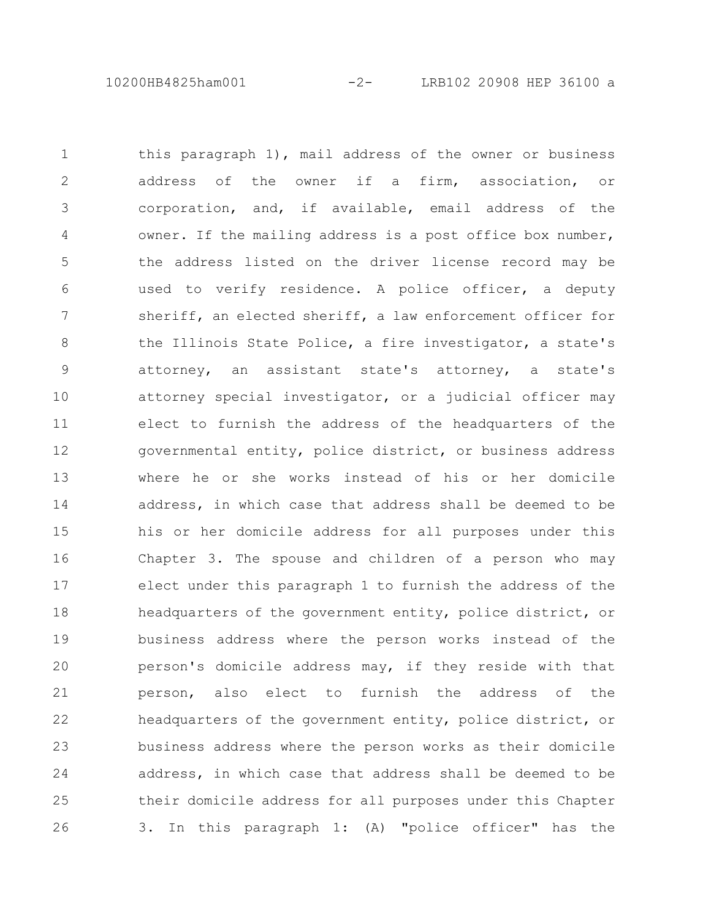10200HB4825ham001 -2- LRB102 20908 HEP 36100 a

this paragraph 1), mail address of the owner or business address of the owner if a firm, association, or corporation, and, if available, email address of the owner. If the mailing address is a post office box number, the address listed on the driver license record may be used to verify residence. A police officer, a deputy sheriff, an elected sheriff, a law enforcement officer for the Illinois State Police, a fire investigator, a state's attorney, an assistant state's attorney, a state's attorney special investigator, or a judicial officer may elect to furnish the address of the headquarters of the governmental entity, police district, or business address where he or she works instead of his or her domicile address, in which case that address shall be deemed to be his or her domicile address for all purposes under this Chapter 3. The spouse and children of a person who may elect under this paragraph 1 to furnish the address of the headquarters of the government entity, police district, or business address where the person works instead of the person's domicile address may, if they reside with that person, also elect to furnish the address of the headquarters of the government entity, police district, or business address where the person works as their domicile address, in which case that address shall be deemed to be their domicile address for all purposes under this Chapter 3. In this paragraph 1: (A) "police officer" has the 1 2 3 4 5 6 7 8 9 10 11 12 13 14 15 16 17 18 19 20 21 22 23 24 25 26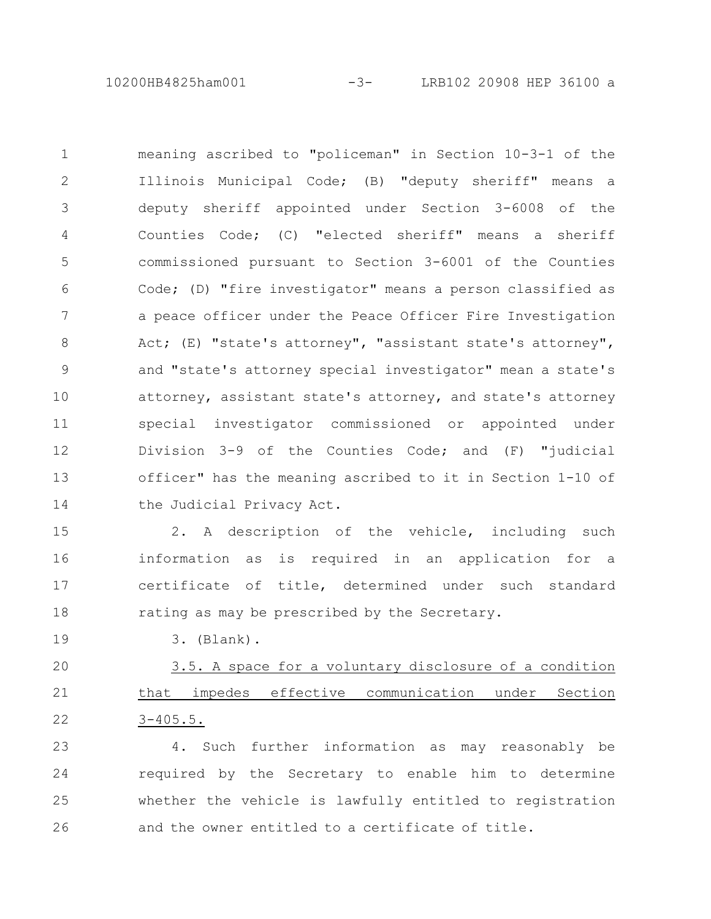10200HB4825ham001 -3- LRB102 20908 HEP 36100 a

meaning ascribed to "policeman" in Section 10-3-1 of the Illinois Municipal Code; (B) "deputy sheriff" means a deputy sheriff appointed under Section 3-6008 of the Counties Code; (C) "elected sheriff" means a sheriff commissioned pursuant to Section 3-6001 of the Counties Code; (D) "fire investigator" means a person classified as a peace officer under the Peace Officer Fire Investigation Act; (E) "state's attorney", "assistant state's attorney", and "state's attorney special investigator" mean a state's attorney, assistant state's attorney, and state's attorney special investigator commissioned or appointed under Division 3-9 of the Counties Code; and (F) "judicial officer" has the meaning ascribed to it in Section 1-10 of the Judicial Privacy Act. 1 2 3 4 5 6 7 8 9 10 11 12 13 14

2. A description of the vehicle, including such information as is required in an application for a certificate of title, determined under such standard rating as may be prescribed by the Secretary. 15 16 17 18

19

3. (Blank).

3.5. A space for a voluntary disclosure of a condition that impedes effective communication under Section 3-405.5. 20 21 22

4. Such further information as may reasonably be required by the Secretary to enable him to determine whether the vehicle is lawfully entitled to registration and the owner entitled to a certificate of title. 23 24 25 26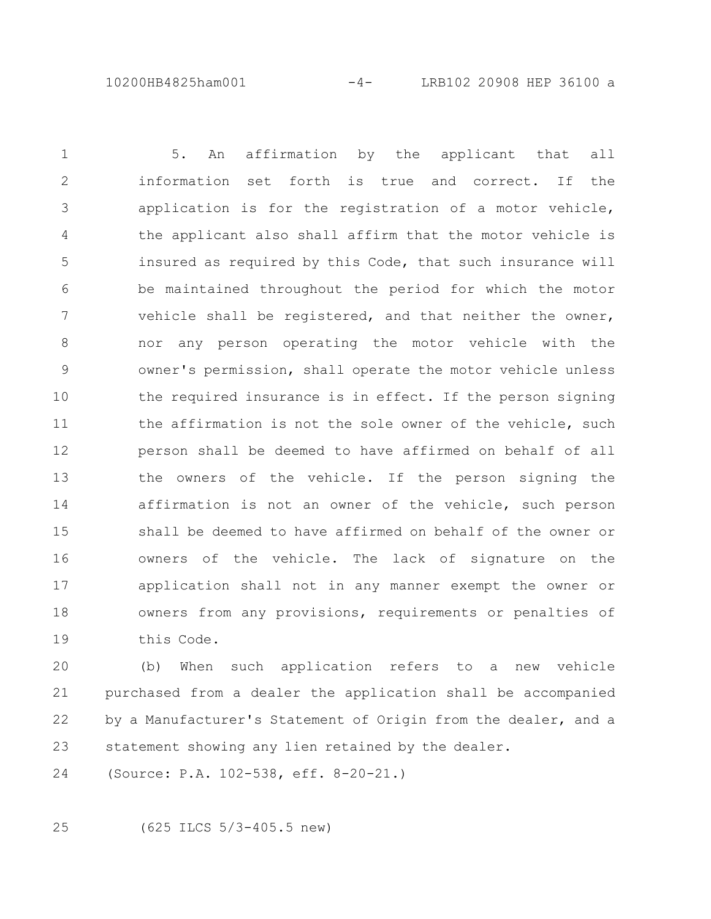10200HB4825ham001 -4- LRB102 20908 HEP 36100 a

5. An affirmation by the applicant that all information set forth is true and correct. If the application is for the registration of a motor vehicle, the applicant also shall affirm that the motor vehicle is insured as required by this Code, that such insurance will be maintained throughout the period for which the motor vehicle shall be registered, and that neither the owner, nor any person operating the motor vehicle with the owner's permission, shall operate the motor vehicle unless the required insurance is in effect. If the person signing the affirmation is not the sole owner of the vehicle, such person shall be deemed to have affirmed on behalf of all the owners of the vehicle. If the person signing the affirmation is not an owner of the vehicle, such person shall be deemed to have affirmed on behalf of the owner or owners of the vehicle. The lack of signature on the application shall not in any manner exempt the owner or owners from any provisions, requirements or penalties of this Code. 1 2 3 4 5 6 7 8 9 10 11 12 13 14 15 16 17 18 19

(b) When such application refers to a new vehicle purchased from a dealer the application shall be accompanied by a Manufacturer's Statement of Origin from the dealer, and a statement showing any lien retained by the dealer. 20 21 22 23

(Source: P.A. 102-538, eff. 8-20-21.) 24

25

(625 ILCS 5/3-405.5 new)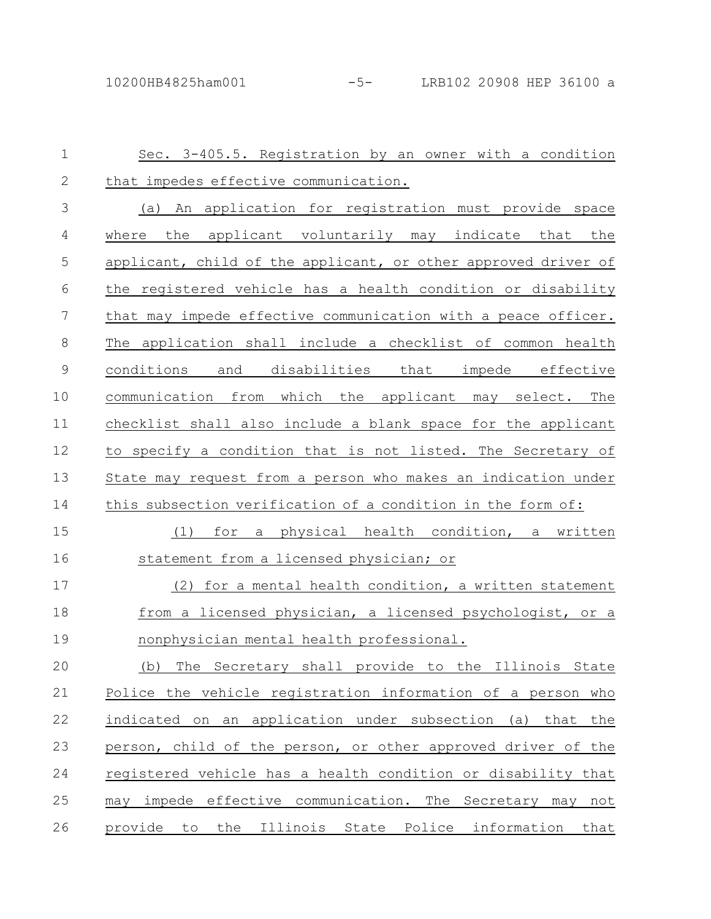| $\mathbf 1$      | Sec. 3-405.5. Registration by an owner with a condition        |
|------------------|----------------------------------------------------------------|
| $\mathbf{2}$     | that impedes effective communication.                          |
| 3                | (a) An application for registration must provide space         |
| 4                | the applicant voluntarily may indicate that the<br>where       |
| 5                | applicant, child of the applicant, or other approved driver of |
| 6                | the registered vehicle has a health condition or disability    |
| $\boldsymbol{7}$ | that may impede effective communication with a peace officer.  |
| 8                | The application shall include a checklist of common health     |
| $\mathcal{G}$    | conditions and disabilities that impede effective              |
| 10               | communication from which the applicant may select. The         |
| 11               | checklist shall also include a blank space for the applicant   |
| 12               | to specify a condition that is not listed. The Secretary of    |
| 13               | State may request from a person who makes an indication under  |
| 14               | this subsection verification of a condition in the form of:    |
| 15               | a physical health condition, a written<br>(1)<br>for           |
| 16               | statement from a licensed physician; or                        |
| 17               | (2) for a mental health condition, a written statement         |
| 18               | from a licensed physician, a licensed psychologist, or a       |
| 19               | nonphysician mental health professional.                       |
| 20               | (b) The Secretary shall provide to the Illinois State          |
| 21               | Police the vehicle registration information of a person who    |
| 22               | indicated on an application under subsection (a) that the      |
| 23               | person, child of the person, or other approved driver of the   |
| 24               | registered vehicle has a health condition or disability that   |
| 25               | may impede effective communication. The Secretary may not      |
| 26               | provide to the Illinois State Police information that          |